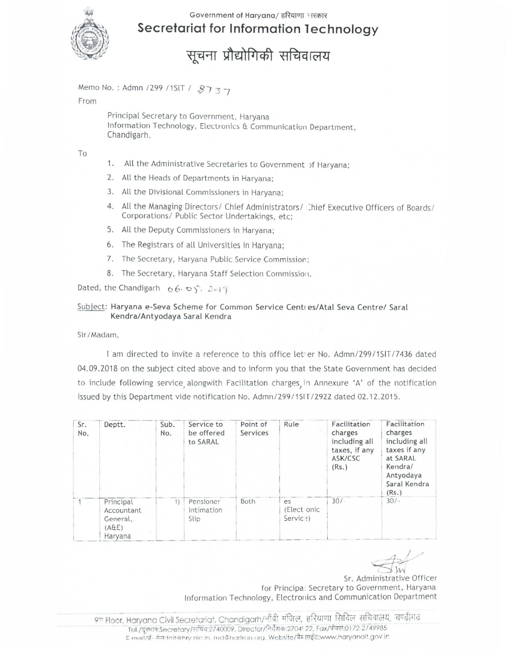

## Government of Haryana/ हरियाणा भरकार Secretariat for Information Technology

सूचना प्रौद्योगिकी सचिवालय

Memo No.: Admn /299 /1SIT / 8737

From

Principal Secretary to Government, Harvana Information Technology, Electronics & Communication Department, Chandigarh.

To

- 1. All the Administrative Secretaries to Government of Haryana;
- 2. All the Heads of Departments in Haryana;
- 3. All the Divisional Commissioners in Haryana:
- 4. All the Managing Directors/ Chief Administrators/ Chief Executive Officers of Boards/ Corporations/ Public Sector Undertakings, etc;
- 5. All the Deputy Commissioners in Haryana;
- 6. The Registrars of all Universities in Haryana;
- 7. The Secretary, Haryana Public Service Commission;
- 8. The Secretary, Haryana Staff Selection Commission.

Dated, the Chandigarh  $66.09$ .  $2019$ 

## Subject: Haryana e-Seva Scheme for Common Service Centres/Atal Seva Centre/ Saral Kendra/Antyodaya Saral Kendra

Sir/Madam.

I am directed to invite a reference to this office let er No. Admn/299/15IT/7436 dated 04.09.2018 on the subject cited above and to inform you that the State Government has decided to include following service alongwith Facilitation charges in Annexure 'A' of the notification issued by this Department vide notification No. Admn/299/1SIT/2922 dated 02.12.2015.

| Sr.<br>No. | Deptt.                                                  | Sub.<br>No.    | Service to<br>be offered<br>to SARAL | Point of<br>Services | Rule                            | Facilitation<br>charges<br>including all<br>taxes, if any<br>ASK/CSC<br>(Rs.) | Facilitation<br>charges<br>including all<br>taxes if any<br>at SARAL<br>Kendra/<br>Antyodaya<br>Saral Kendra<br>(Rs.) |
|------------|---------------------------------------------------------|----------------|--------------------------------------|----------------------|---------------------------------|-------------------------------------------------------------------------------|-----------------------------------------------------------------------------------------------------------------------|
|            | Principal<br>Accountant<br>General,<br>(AGE)<br>Haryana | $\overline{1}$ | Pensioner<br>Intimation<br>Slip      | Both                 | es<br>(Elect onic)<br>Servic ?) | $30/-$                                                                        | $30/-$                                                                                                                |

Sr. Administrative Officer for Principal Secretary to Government, Haryana Information Technology, Electronics and Communication Department